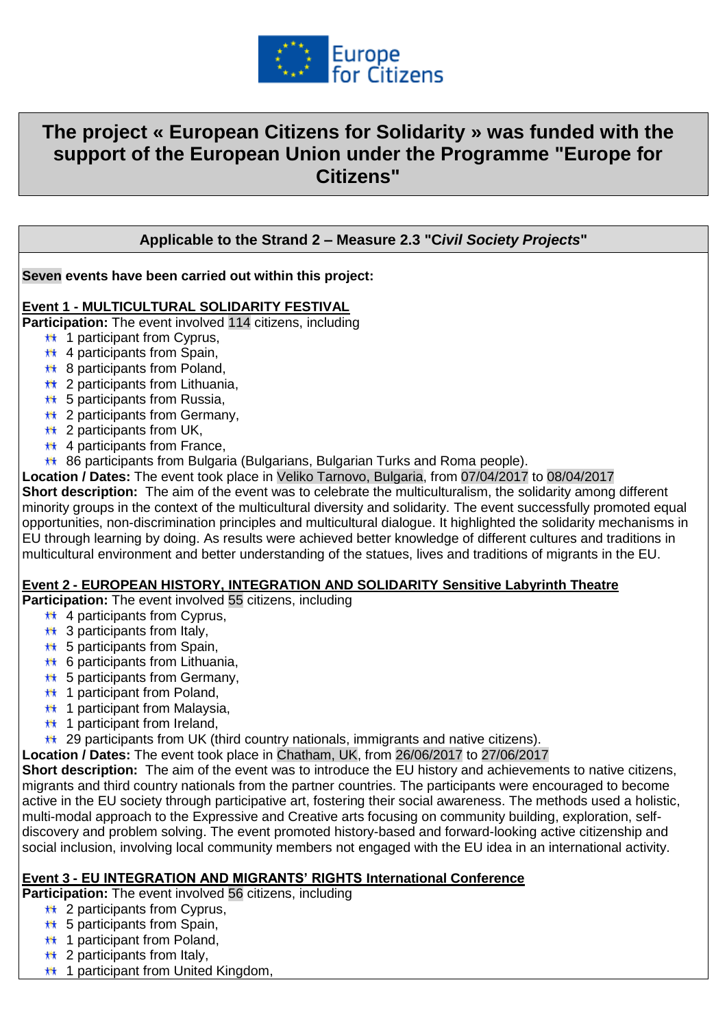

# **The project « European Citizens for Solidarity » was funded with the support of the European Union under the Programme "Europe for Citizens"**

# **Applicable to the Strand 2 – Measure 2.3 "C***ivil Society Projects***"**

## **Seven events have been carried out within this project:**

## **Event 1 - MULTICULTURAL SOLIDARITY FESTIVAL**

**Participation:** The event involved 114 citizens, including

- $\star\star$  1 participant from Cyprus,
- $\star\star$  4 participants from Spain,
- **\*\*** 8 participants from Poland,
- **\*\*** 2 participants from Lithuania.
- $\star\star$  5 participants from Russia,
- **\*\*** 2 participants from Germany,
- $\star\star$  2 participants from UK,
- $\star\star$  4 participants from France,
- 86 participants from Bulgaria (Bulgarians, Bulgarian Turks and Roma people).

**Location / Dates:** The event took place in Veliko Tarnovo, Bulgaria, from 07/04/2017 to 08/04/2017

**Short description:** The aim of the event was to celebrate the multiculturalism, the solidarity among different minority groups in the context of the multicultural diversity and solidarity. The event successfully promoted equal opportunities, non-discrimination principles and multicultural dialogue. It highlighted the solidarity mechanisms in EU through learning by doing. As results were achieved better knowledge of different cultures and traditions in multicultural environment and better understanding of the statues, lives and traditions of migrants in the EU.

#### **Event 2 - EUROPEAN HISTORY, INTEGRATION AND SOLIDARITY Sensitive Labyrinth Theatre**

**Participation:** The event involved 55 citizens, including

- $\star\star$  4 participants from Cyprus,
- $\star\star$  3 participants from Italy.
- $\star\star$  5 participants from Spain,
- **\*\*** 6 participants from Lithuania,
- **\*\*** 5 participants from Germany,
- **\*\*** 1 participant from Poland,
- $\star\star$  1 participant from Malaysia,
- $\star\star$  1 participant from Ireland,
- $**$  29 participants from UK (third country nationals, immigrants and native citizens).

**Location / Dates:** The event took place in Chatham, UK, from 26/06/2017 to 27/06/2017

**Short description:** The aim of the event was to introduce the EU history and achievements to native citizens, migrants and third country nationals from the partner countries. The participants were encouraged to become active in the EU society through participative art, fostering their social awareness. The methods used a holistic, multi-modal approach to the Expressive and Creative arts focusing on community building, exploration, selfdiscovery and problem solving. The event promoted history-based and forward-looking active citizenship and social inclusion, involving local community members not engaged with the EU idea in an international activity.

#### **Event 3 - EU INTEGRATION AND MIGRANTS' RIGHTS International Conference**

**Participation:** The event involved 56 citizens, including

- **\*\*** 2 participants from Cyprus,
- $\star\star$  5 participants from Spain,
- $\star\star$  1 participant from Poland,
- $\star\star$  2 participants from Italy,
- **\*\* 1 participant from United Kingdom,**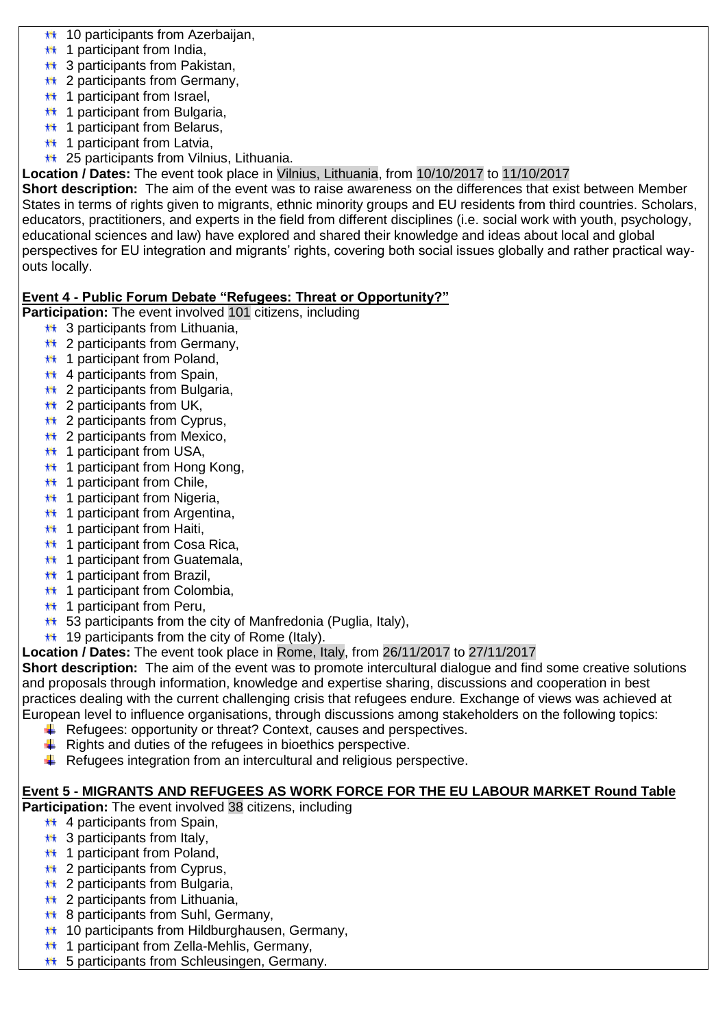- 10 participants from Azerbaijan, 林
- $\star\star$  1 participant from India,
- $\star\star$  3 participants from Pakistan.
- **\*\*** 2 participants from Germany,
- $\star\star$  1 participant from Israel.
- $\star\star$  1 participant from Bulgaria.
- $\star\star$  1 participant from Belarus.
- $\star\star$  1 participant from Latvia,
- **\*\*** 25 participants from Vilnius, Lithuania.

**Location / Dates:** The event took place in Vilnius, Lithuania, from 10/10/2017 to 11/10/2017

**Short description:** The aim of the event was to raise awareness on the differences that exist between Member States in terms of rights given to migrants, ethnic minority groups and EU residents from third countries. Scholars, educators, practitioners, and experts in the field from different disciplines (i.e. social work with youth, psychology, educational sciences and law) have explored and shared their knowledge and ideas about local and global perspectives for EU integration and migrants' rights, covering both social issues globally and rather practical wayouts locally.

# **Event 4 - Public Forum Debate "Refugees: Threat or Opportunity?"**

**Participation:** The event involved 101 citizens, including

- **\*\*** 3 participants from Lithuania.
- **\*\*** 2 participants from Germany,
- $\star\star$  1 participant from Poland,
- $\star\star$  4 participants from Spain,
- **\*\*** 2 participants from Bulgaria,
- $\star\star$  2 participants from UK,
- $\star\star$  2 participants from Cyprus,
- **\*\*** 2 participants from Mexico,
- $\star\star$  1 participant from USA.
- **\*\*** 1 participant from Hong Kong,
- $\star\star$  1 participant from Chile,
- **\*\*** 1 participant from Nigeria,
- $\star\star$  1 participant from Argentina,
- $\star\star$  1 participant from Haiti,
- $\star\star$  1 participant from Cosa Rica.
- **\*\*** 1 participant from Guatemala,
- $\star\star$  1 participant from Brazil.
- **\*\*** 1 participant from Colombia,
- $\star\star$  1 participant from Peru,
- $\star\star$  53 participants from the city of Manfredonia (Puglia, Italy),
- $\star\star$  19 participants from the city of Rome (Italy).
- **Location / Dates:** The event took place in Rome, Italy, from 26/11/2017 to 27/11/2017

**Short description:** The aim of the event was to promote intercultural dialogue and find some creative solutions and proposals through information, knowledge and expertise sharing, discussions and cooperation in best practices dealing with the current challenging crisis that refugees endure. Exchange of views was achieved at European level to influence organisations, through discussions among stakeholders on the following topics:

- $\ddot{+}$  Refugees: opportunity or threat? Context, causes and perspectives.
- $\frac{1}{\sqrt{2}}$  Rights and duties of the refugees in bioethics perspective.
- $\ddot{+}$  Refugees integration from an intercultural and religious perspective.

## **Event 5 - MIGRANTS AND REFUGEES AS WORK FORCE FOR THE EU LABOUR MARKET Round Table**

**Participation:** The event involved 38 citizens, including

- $\star\star$  4 participants from Spain.
- $\star\star$  3 participants from Italy.
- $\star\star$  1 participant from Poland,
- $\star\star$  2 participants from Cyprus,
- $\star\star$  2 participants from Bulgaria,
- $\star\star$  2 participants from Lithuania,
- **\*\* 8 participants from Suhl, Germany,**
- **\*\*** 10 participants from Hildburghausen, Germany,
- **\*\*** 1 participant from Zella-Mehlis, Germany,
- **\*\*** 5 participants from Schleusingen, Germany.